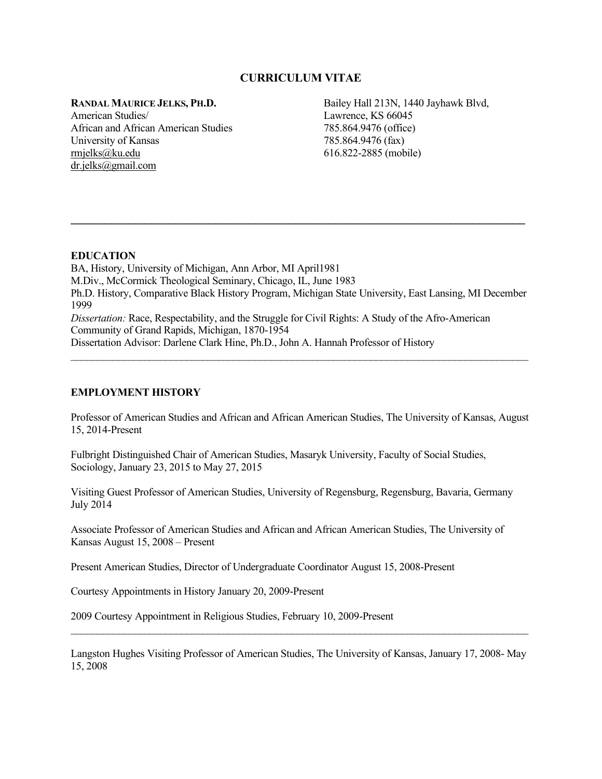# **CURRICULUM VITAE**

**RANDAL MAURICE JELKS, PH.D.**

American Studies/ African and African American Studies University of Kansas [rmjelks@ku.edu](mailto:rmjelks@ku.edu) [dr.jelks@gmail.com](mailto:dr.jelks@gmail.com)

Bailey Hall 213N, 1440 Jayhawk Blvd, Lawrence, KS 66045 785.864.9476 (office) 785.864.9476 (fax) 616.822-2885 (mobile)

# **EDUCATION**

BA, History, University of Michigan, Ann Arbor, MI April1981 M.Div., McCormick Theological Seminary, Chicago, IL, June 1983 Ph.D. History, Comparative Black History Program, Michigan State University, East Lansing, MI December 1999 *Dissertation:* Race, Respectability, and the Struggle for Civil Rights: A Study of the Afro-American Community of Grand Rapids, Michigan, 1870-1954 Dissertation Advisor: Darlene Clark Hine, Ph.D., John A. Hannah Professor of History

\_\_\_\_\_\_\_\_\_\_\_\_\_\_\_\_\_\_\_\_\_\_\_\_\_\_\_\_\_\_\_\_\_\_\_\_\_\_\_\_\_\_\_\_\_\_\_\_\_\_\_\_\_\_\_\_\_\_\_\_\_\_\_\_\_\_\_\_\_\_\_\_\_\_\_\_\_\_\_\_\_\_\_\_\_\_\_

**\_\_\_\_\_\_\_\_\_\_\_\_\_\_\_\_\_\_\_\_\_\_\_\_\_\_\_\_\_\_\_\_\_\_\_\_\_\_\_\_\_\_\_\_\_\_\_\_\_\_\_\_\_\_\_\_\_\_\_\_\_\_\_\_\_\_\_\_\_\_\_\_\_\_\_\_\_\_\_**

# **EMPLOYMENT HISTORY**

Professor of American Studies and African and African American Studies, The University of Kansas, August 15, 2014-Present

Fulbright Distinguished Chair of American Studies, Masaryk University, Faculty of Social Studies, Sociology, January 23, 2015 to May 27, 2015

Visiting Guest Professor of American Studies, University of Regensburg, Regensburg, Bavaria, Germany July 2014

Associate Professor of American Studies and African and African American Studies, The University of Kansas August 15, 2008 – Present

Present American Studies, Director of Undergraduate Coordinator August 15, 2008-Present

Courtesy Appointments in History January 20, 2009-Present

2009 Courtesy Appointment in Religious Studies, February 10, 2009-Present

Langston Hughes Visiting Professor of American Studies, The University of Kansas, January 17, 2008- May 15, 2008

 $\_$  , and the set of the set of the set of the set of the set of the set of the set of the set of the set of the set of the set of the set of the set of the set of the set of the set of the set of the set of the set of th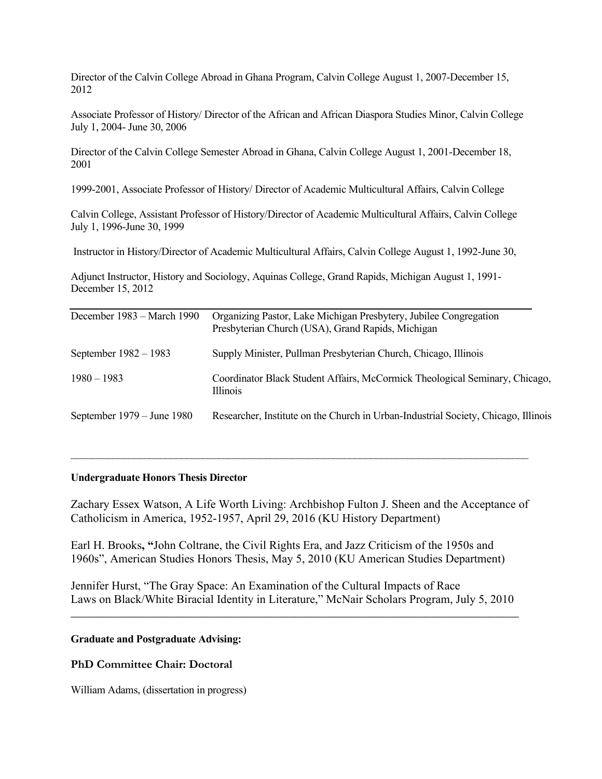Director of the Calvin College Abroad in Ghana Program, Calvin College August 1, 2007-December 15, 2012

Associate Professor of History/ Director of the African and African Diaspora Studies Minor, Calvin College July 1, 2004- June 30, 2006

Director of the Calvin College Semester Abroad in Ghana, Calvin College August 1, 2001-December 18, 2001

1999-2001, Associate Professor of History/ Director of Academic Multicultural Affairs, Calvin College

Calvin College, Assistant Professor of History/Director of Academic Multicultural Affairs, Calvin College July 1, 1996-June 30, 1999

Instructor in History/Director of Academic Multicultural Affairs, Calvin College August 1, 1992-June 30,

Adjunct Instructor, History and Sociology, Aquinas College, Grand Rapids, Michigan August 1, 1991- December 15, 2012

| Organizing Pastor, Lake Michigan Presbytery, Jubilee Congregation<br>Presbyterian Church (USA), Grand Rapids, Michigan |
|------------------------------------------------------------------------------------------------------------------------|
| Supply Minister, Pullman Presbyterian Church, Chicago, Illinois                                                        |
| Coordinator Black Student Affairs, McCormick Theological Seminary, Chicago,<br>Illinois                                |
| Researcher, Institute on the Church in Urban-Industrial Society, Chicago, Illinois                                     |
|                                                                                                                        |

### **Undergraduate Honors Thesis Director**

Zachary Essex Watson, A Life Worth Living: Archbishop Fulton J. Sheen and the Acceptance of Catholicism in America, 1952-1957, April 29, 2016 (KU History Department)

 $\_$  , and the set of the set of the set of the set of the set of the set of the set of the set of the set of the set of the set of the set of the set of the set of the set of the set of the set of the set of the set of th

Earl H. Brooks**, "**John Coltrane, the Civil Rights Era, and Jazz Criticism of the 1950s and 1960s", American Studies Honors Thesis, May 5, 2010 (KU American Studies Department)

Jennifer Hurst, "The Gray Space: An Examination of the Cultural Impacts of Race Laws on Black/White Biracial Identity in Literature," McNair Scholars Program, July 5, 2010

\_\_\_\_\_\_\_\_\_\_\_\_\_\_\_\_\_\_\_\_\_\_\_\_\_\_\_\_\_\_\_\_\_\_\_\_\_\_\_\_\_\_\_\_\_\_\_\_\_\_\_\_\_\_\_\_\_\_\_\_\_\_\_\_\_\_\_\_\_\_\_\_\_\_\_\_

### **Graduate and Postgraduate Advising:**

### **PhD Committee Chair: Doctoral**

William Adams, (dissertation in progress)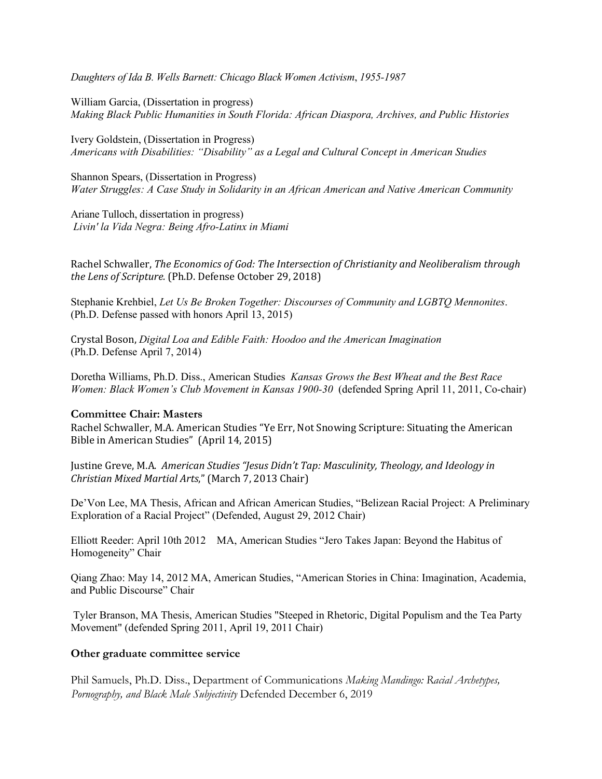*Daughters of Ida B. Wells Barnett: Chicago Black Women Activism*, *1955-1987*

William Garcia, (Dissertation in progress) *Making Black Public Humanities in South Florida: African Diaspora, Archives, and Public Histories*

Ivery Goldstein, (Dissertation in Progress) *Americans with Disabilities: "Disability" as a Legal and Cultural Concept in American Studies*

Shannon Spears, (Dissertation in Progress) *Water Struggles: A Case Study in Solidarity in an African American and Native American Community*

Ariane Tulloch, dissertation in progress) *Livin' la Vida Negra: Being Afro-Latinx in Miami*

Rachel Schwaller, *The Economics of God: The Intersection of Christianity and Neoliberalism through the Lens of Scripture.* (Ph.D. Defense October 29, 2018)

Stephanie Krehbiel, *Let Us Be Broken Together: Discourses of Community and LGBTQ Mennonites*. (Ph.D. Defense passed with honors April 13, 2015)

Crystal Boson, *Digital Loa and Edible Faith: Hoodoo and the American Imagination* (Ph.D. Defense April 7, 2014)

Doretha Williams, Ph.D. Diss., American Studies *Kansas Grows the Best Wheat and the Best Race Women: Black Women's Club Movement in Kansas 1900-30* (defended Spring April 11, 2011, Co-chair)

# **Committee Chair: Masters**

Rachel Schwaller, M.A. American Studies "Ye Err, Not Snowing Scripture: Situating the American Bible in American Studies" (April 14, 2015)

Justine Greve, M.A. *American Studies "Jesus Didn't Tap: Masculinity, Theology, and Ideology in Christian Mixed Martial Arts*," (March 7, 2013 Chair)

De'Von Lee, MA Thesis, African and African American Studies, "Belizean Racial Project: A Preliminary Exploration of a Racial Project" (Defended, August 29, 2012 Chair)

Elliott Reeder: April 10th 2012 MA, American Studies "Jero Takes Japan: Beyond the Habitus of Homogeneity" Chair

Qiang Zhao: May 14, 2012 MA, American Studies, "American Stories in China: Imagination, Academia, and Public Discourse" Chair

Tyler Branson, MA Thesis, American Studies "Steeped in Rhetoric, Digital Populism and the Tea Party Movement" (defended Spring 2011, April 19, 2011 Chair)

### **Other graduate committee service**

Phil Samuels, Ph.D. Diss., Department of Communications *Making Mandingo: Racial Archetypes, Pornography, and Black Male Subjectivity* Defended December 6, 2019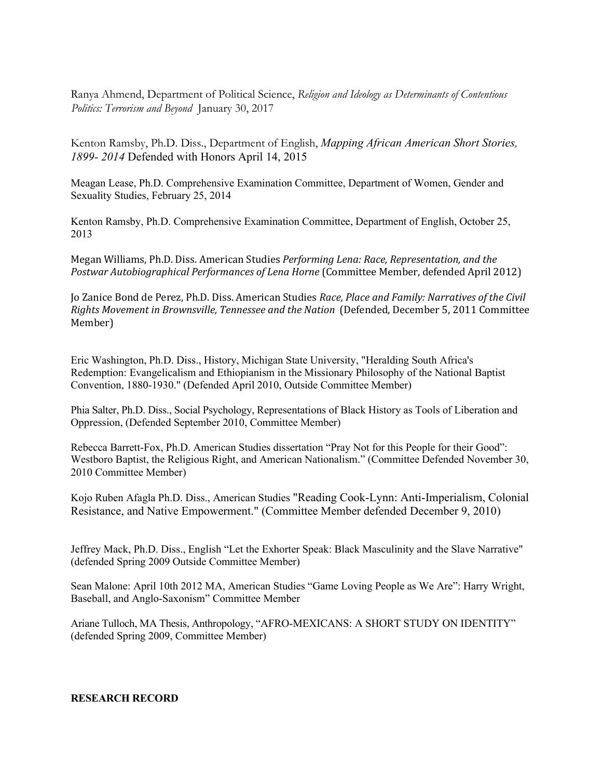Ranya Ahmend, Department of Political Science, *Religion and Ideology as Determinants of Contentious Politics: Terrorism and Beyond* January 30, 2017

Kenton Ramsby, Ph.D. Diss., Department of English, *Mapping African American Short Stories, 1899- 2014* Defended with Honors April 14, 2015

Meagan Lease, Ph.D. Comprehensive Examination Committee, Department of Women, Gender and Sexuality Studies, February 25, 2014

Kenton Ramsby, Ph.D. Comprehensive Examination Committee, Department of English, October 25, 2013

Megan Williams, Ph.D. Diss. American Studies *Performing Lena: Race, Representation, and the Postwar Autobiographical Performances of Lena Horne* (Committee Member, defended April 2012)

Jo Zanice Bond de Perez, Ph.D. Diss. American Studies *Race, Place and Family: Narratives of the Civil Rights Movement in Brownsville, Tennessee and the Nation* (Defended, December 5, 2011 Committee Member)

Eric Washington, Ph.D. Diss., History, Michigan State University, "Heralding South Africa's Redemption: Evangelicalism and Ethiopianism in the Missionary Philosophy of the National Baptist Convention, 1880-1930." (Defended April 2010, Outside Committee Member)

Phia Salter, Ph.D. Diss., Social Psychology, Representations of Black History as Tools of Liberation and Oppression, (Defended September 2010, Committee Member)

Rebecca Barrett-Fox, Ph.D. American Studies dissertation "Pray Not for this People for their Good": Westboro Baptist, the Religious Right, and American Nationalism." (Committee Defended November 30, 2010 Committee Member)

Kojo Ruben Afagla Ph.D. Diss., American Studies "Reading Cook-Lynn: Anti-Imperialism, Colonial Resistance, and Native Empowerment." (Committee Member defended December 9, 2010)

Jeffrey Mack, Ph.D. Diss., English "Let the Exhorter Speak: Black Masculinity and the Slave Narrative" (defended Spring 2009 Outside Committee Member)

Sean Malone: April 10th 2012 MA, American Studies "Game Loving People as We Are": Harry Wright, Baseball, and Anglo-Saxonism" Committee Member

Ariane Tulloch, MA Thesis, Anthropology, "AFRO-MEXICANS: A SHORT STUDY ON IDENTITY" (defended Spring 2009, Committee Member)

**RESEARCH RECORD**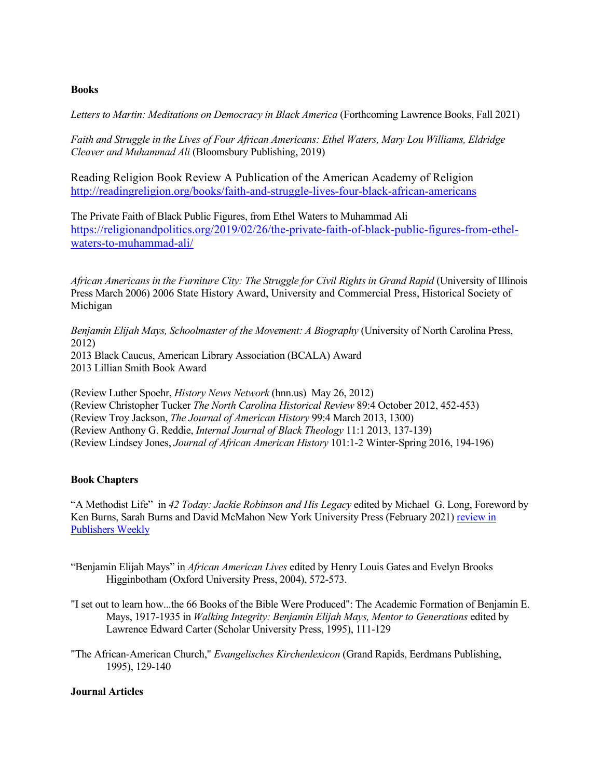# **Books**

Letters to Martin: Meditations on Democracy in Black America (Forthcoming Lawrence Books, Fall 2021)

*Faith and Struggle in the Lives of Four African Americans: Ethel Waters, Mary Lou Williams, Eldridge Cleaver and Muhammad Ali* (Bloomsbury Publishing, 2019)

Reading Religion Book Review A Publication of the American Academy of Religion <http://readingreligion.org/books/faith-and-struggle-lives-four-black-african-americans>

The Private Faith of Black Public Figures, from Ethel Waters to Muhammad Ali [https://religionandpolitics.org/2019/02/26/the-private-faith-of-black-public-figures-from-ethel](https://religionandpolitics.org/2019/02/26/the-private-faith-of-black-public-figures-from-ethel-waters-to-muhammad-ali/)[waters-to-muhammad-ali/](https://religionandpolitics.org/2019/02/26/the-private-faith-of-black-public-figures-from-ethel-waters-to-muhammad-ali/)

*African Americans in the Furniture City: The Struggle for Civil Rights in Grand Rapid* (University of Illinois Press March 2006) 2006 State History Award, University and Commercial Press, Historical Society of Michigan

*Benjamin Elijah Mays, Schoolmaster of the Movement: A Biography* (University of North Carolina Press, 2012) 2013 Black Caucus, American Library Association (BCALA) Award 2013 Lillian Smith Book Award

(Review Luther Spoehr, *History News Network* (hnn.us) May 26, 2012) (Review Christopher Tucker *The North Carolina Historical Review* 89:4 October 2012, 452-453) (Review Troy Jackson, *The Journal of American History* 99:4 March 2013, 1300) (Review Anthony G. Reddie, *Internal Journal of Black Theology* 11:1 2013, 137-139) (Review Lindsey Jones, *Journal of African American History* 101:1-2 Winter-Spring 2016, 194-196)

# **Book Chapters**

"A Methodist Life" in *42 Today: Jackie Robinson and His Legacy* edited by Michael G. Long, Foreword by Ken Burns, Sarah Burns and David McMahon New York University Press (February 2021[\) review in](https://www.publishersweekly.com/978-1-4798-0562-4) [Publishers Weekly](https://www.publishersweekly.com/978-1-4798-0562-4)

- "Benjamin Elijah Mays" in *African American Lives* edited by Henry Louis Gates and Evelyn Brooks Higginbotham (Oxford University Press, 2004), 572-573.
- "I set out to learn how...the 66 Books of the Bible Were Produced": The Academic Formation of Benjamin E. Mays, 1917-1935 in *Walking Integrity: Benjamin Elijah Mays, Mentor to Generations* edited by Lawrence Edward Carter (Scholar University Press, 1995), 111-129

"The African-American Church," *Evangelisches Kirchenlexicon* (Grand Rapids, Eerdmans Publishing, 1995), 129-140

# **Journal Articles**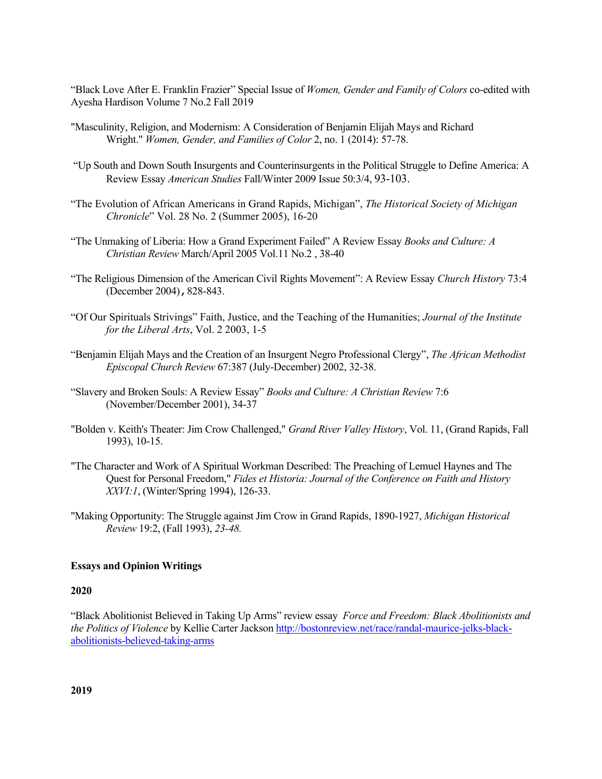"Black Love After E. Franklin Frazier" Special Issue of *Women, Gender and Family of Colors* co-edited with Ayesha Hardison Volume 7 No.2 Fall 2019

- ["Masculinity, Religion, and Modernism: A Consideration of Benjamin](http://www.bibme.org/) Elijah Mays and Richard Wright." *[Women, Gender, and Families of Color](http://www.bibme.org/)* 2, no. 1 (2014): 57-78.
- "Up South and Down South Insurgents and Counterinsurgents in the Political Struggle to Define America: A Review Essay *American Studies* Fall/Winter 2009 Issue 50:3/4, 93-103.
- "The Evolution of African Americans in Grand Rapids, Michigan", *The Historical Society of Michigan Chronicle*" Vol. 28 No. 2 (Summer 2005), 16-20
- "The Unmaking of Liberia: How a Grand Experiment Failed" A Review Essay *Books and Culture: A Christian Review* March/April 2005 Vol.11 No.2 , 38-40
- "The Religious Dimension of the American Civil Rights Movement": A Review Essay *Church History* 73:4 (December 2004), 828-843.
- "Of Our Spirituals Strivings" Faith, Justice, and the Teaching of the Humanities; *Journal of the Institute for the Liberal Arts*, Vol. 2 2003, 1-5
- "Benjamin Elijah Mays and the Creation of an Insurgent Negro Professional Clergy", *The African Methodist Episcopal Church Review* 67:387 (July-December) 2002, 32-38.
- "Slavery and Broken Souls: A Review Essay" *Books and Culture: A Christian Review* 7:6 (November/December 2001), 34-37
- "Bolden v. Keith's Theater: Jim Crow Challenged," *Grand River Valley History*, Vol. 11, (Grand Rapids, Fall 1993), 10-15.
- "The Character and Work of A Spiritual Workman Described: The Preaching of Lemuel Haynes and The Quest for Personal Freedom," *Fides et Historia: Journal of the Conference on Faith and History XXVI:1*, (Winter/Spring 1994), 126-33.
- "Making Opportunity: The Struggle against Jim Crow in Grand Rapids, 1890-1927, *Michigan Historical Review* 19:2, (Fall 1993), *23-48.*

### **Essays and Opinion Writings**

### **2020**

"Black Abolitionist Believed in Taking Up Arms" review essay *Force and Freedom: Black Abolitionists and the Politics of Violence* by Kellie Carter Jackson [http://bostonreview.net/race/randal-maurice-jelks-black](http://bostonreview.net/race/randal-maurice-jelks-black-abolitionists-believed-taking-arms)[abolitionists-believed-taking-arms](http://bostonreview.net/race/randal-maurice-jelks-black-abolitionists-believed-taking-arms)

**2019**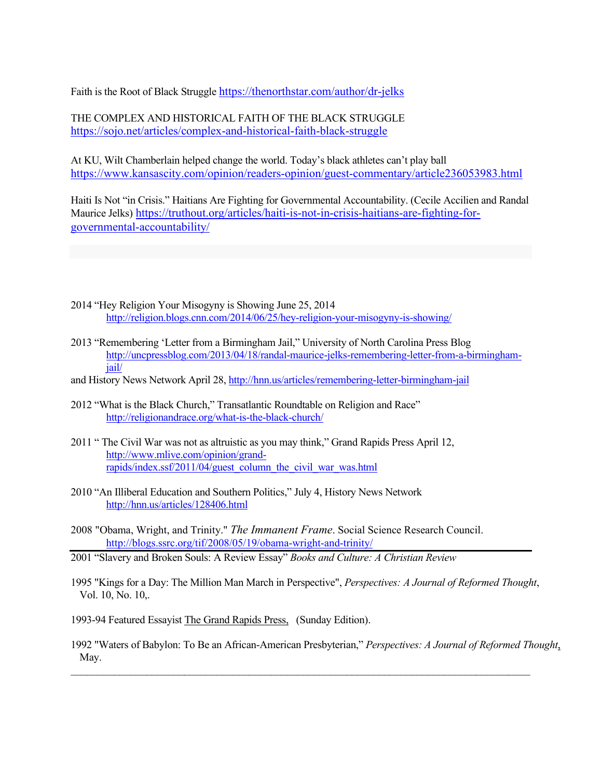Faith is the Root of Black Struggl[e https://thenorthstar.com/author/dr-jelks](https://thenorthstar.com/author/dr-jelks)

THE COMPLEX AND HISTORICAL FAITH OF THE BLACK STRUGGLE <https://sojo.net/articles/complex-and-historical-faith-black-struggle>

At KU, Wilt Chamberlain helped change the world. Today's black athletes can't play ball <https://www.kansascity.com/opinion/readers-opinion/guest-commentary/article236053983.html>

Haiti Is Not "in Crisis." Haitians Are Fighting for Governmental Accountability. (Cecile Accilien and Randal Maurice Jelks) [https://truthout.org/articles/haiti-is-not-in-crisis-haitians-are-fighting-for](https://truthout.org/articles/haiti-is-not-in-crisis-haitians-are-fighting-for-governmental-accountability/)[governmental-accountability/](https://truthout.org/articles/haiti-is-not-in-crisis-haitians-are-fighting-for-governmental-accountability/)

- 2014 "Hey Religion Your Misogyny is Showing June 25, 2014 <http://religion.blogs.cnn.com/2014/06/25/hey-religion-your-misogyny-is-showing/>
- 2013 "Remembering 'Letter from a Birmingham Jail," University of North Carolina Press Blog [http://uncpressblog.com/2013/04/18/randal-maurice-jelks-remembering-letter-from-a-birmingham](http://uncpressblog.com/2013/04/18/randal-maurice-jelks-remembering-letter-from-a-birmingham-jail/)[jail/](http://uncpressblog.com/2013/04/18/randal-maurice-jelks-remembering-letter-from-a-birmingham-jail/)
- and History News Network April 28[, http://hnn.us/articles/remembering-letter-birmingham-jail](http://hnn.us/articles/remembering-letter-birmingham-jail)
- 2012 "What is the Black Church," Transatlantic Roundtable on Religion and Race" <http://religionandrace.org/what-is-the-black-church/>
- 2011 " The Civil War was not as altruistic as you may think," Grand Rapids Press April 12, [http://www.mlive.com/opinion/grand](http://www.mlive.com/opinion/grand-rapids/index.ssf/2011/04/guest_column_the_civil_war_was.html)[rapids/index.ssf/2011/04/guest\\_column\\_the\\_civil\\_war\\_was.html](http://www.mlive.com/opinion/grand-rapids/index.ssf/2011/04/guest_column_the_civil_war_was.html)
- 2010 "An Illiberal Education and Southern Politics," July 4, History News Network <http://hnn.us/articles/128406.html>
- 2008 "Obama, Wright, and Trinity." *The Immanent Frame*. Social Science Research Council. <http://blogs.ssrc.org/tif/2008/05/19/obama-wright-and-trinity/>
- 2001 "Slavery and Broken Souls: A Review Essay" *Books and Culture: A Christian Review*
- 1995 "Kings for a Day: The Million Man March in Perspective", *Perspectives: A Journal of Reformed Thought*, Vol. 10, No. 10,.
- 1993-94 Featured Essayist The Grand Rapids Press, (Sunday Edition).
- 1992 "Waters of Babylon: To Be an African-American Presbyterian," *Perspectives: A Journal of Reformed Thought*, May.

 $\mathcal{L}_\text{max}$  , and the contract of the contract of the contract of the contract of the contract of the contract of the contract of the contract of the contract of the contract of the contract of the contract of the contr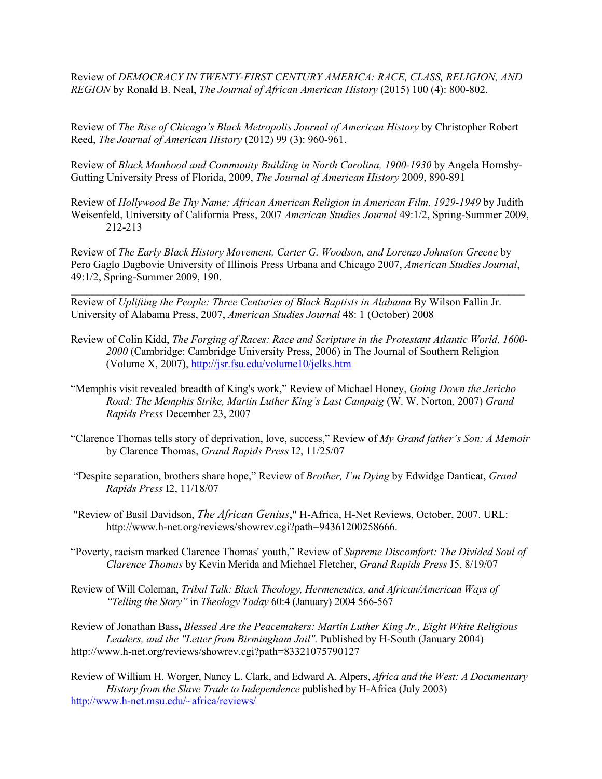Review of *DEMOCRACY IN TWENTY-FIRST CENTURY AMERICA: RACE, CLASS, RELIGION, AND REGION* by Ronald B. Neal, *The Journal of African American History* (2015) 100 (4): 800-802.

Review of *The Rise of Chicago's Black Metropolis Journal of American History* by Christopher Robert Reed, *The Journal of American History* (2012) 99 (3): 960-961.

Review of *Black Manhood and Community Building in North Carolina, 1900-1930* by Angela Hornsby-Gutting University Press of Florida, 2009, *The Journal of American History* 2009, 890-891

Review of *Hollywood Be Thy Name: African American Religion in American Film, 1929-1949* by Judith Weisenfeld, University of California Press, 2007 *American Studies Journal* 49:1/2, Spring-Summer 2009, 212-213

Review of *The Early Black History Movement, Carter G. Woodson, and Lorenzo Johnston Greene* by Pero Gaglo Dagbovie University of Illinois Press Urbana and Chicago 2007, *American Studies Journal*, 49:1/2, Spring-Summer 2009, 190.

\_\_\_\_\_\_\_\_\_\_\_\_\_\_\_\_\_\_\_\_\_\_\_\_\_\_\_\_\_\_\_\_\_\_\_\_\_\_\_\_\_\_\_\_\_\_\_\_\_\_\_\_\_\_\_\_\_\_\_\_\_\_\_\_\_\_\_\_\_\_\_\_\_\_\_\_\_\_\_\_\_\_\_\_

Review of *Uplifting the People: Three Centuries of Black Baptists in Alabama* By Wilson Fallin Jr. University of Alabama Press, 2007, *American Studies Journal* 48: 1 (October) 2008

- Review of Colin Kidd, *The Forging of Races: Race and Scripture in the Protestant Atlantic World, 1600- 2000* (Cambridge: Cambridge University Press, 2006) in The Journal of Southern Religion (Volume X, 2007),<http://jsr.fsu.edu/volume10/jelks.htm>
- "Memphis visit revealed breadth of King's work," Review of Michael Honey, *Going Down the Jericho Road: The Memphis Strike, Martin Luther King's Last Campaig* (W. W. Norton*,* 2007) *Grand Rapids Press* December 23, 2007
- "Clarence Thomas tells story of deprivation, love, success," Review of *My Grand father's Son: A Memoir*  by Clarence Thomas, *Grand Rapids Press* I*2*, 11/25/07
- "Despite separation, brothers share hope," Review of *Brother, I'm Dying* by Edwidge Danticat, *Grand Rapids Press* I2, 11/18/07
- "Review of Basil Davidson, *The African Genius*," H-Africa, H-Net Reviews, October, 2007. URL: http://www.h-net.org/reviews/showrev.cgi?path=94361200258666.
- "Poverty, racism marked Clarence Thomas' youth," Review of *Supreme Discomfort: The Divided Soul of Clarence Thomas* by Kevin Merida and Michael Fletcher, *Grand Rapids Press* J5, 8/19/07
- Review of Will Coleman, *Tribal Talk: Black Theology, Hermeneutics, and African/American Ways of "Telling the Story"* in *Theology Today* 60:4 (January) 2004 566-567

Review of Jonathan Bass**,** *Blessed Are the Peacemakers: Martin Luther King Jr., Eight White Religious Leaders, and the "Letter from Birmingham Jail".* Published by H-South (January 2004) http://www.h-net.org/reviews/showrev.cgi?path=83321075790127

Review of William H. Worger, Nancy L. Clark, and Edward A. Alpers, *Africa and the West: A Documentary History from the Slave Trade to Independence* published by H-Africa (July 2003) [http://www.h-net.msu.edu/~africa/reviews/](http://www.h-net.msu.edu/%7Eafrica/reviews/)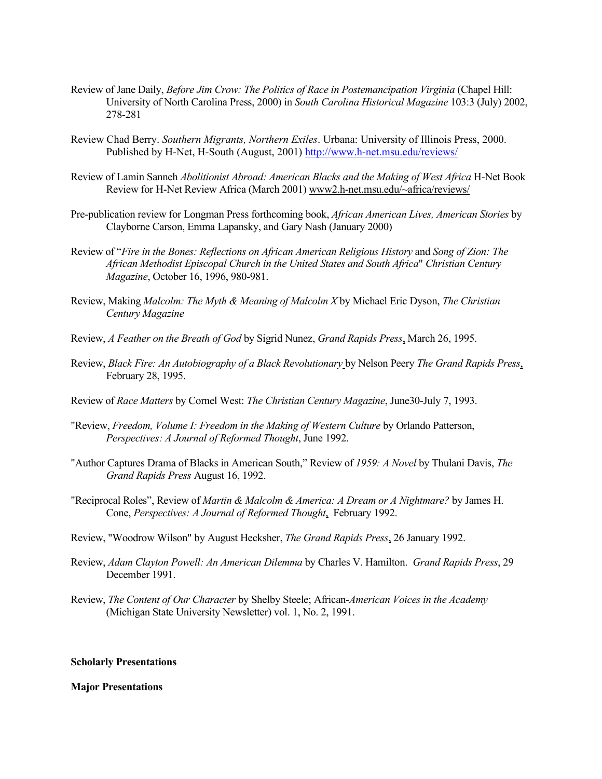- Review of Jane Daily, *Before Jim Crow: The Politics of Race in Postemancipation Virginia* (Chapel Hill: University of North Carolina Press, 2000) in *South Carolina Historical Magazine* 103:3 (July) 2002, 278-281
- Review Chad Berry. *Southern Migrants, Northern Exiles*. Urbana: University of Illinois Press, 2000. Published by H-Net, H-South (August, 2001)<http://www.h-net.msu.edu/reviews/>
- Review of Lamin Sanneh *Abolitionist Abroad: American Blacks and the Making of West Africa* H-Net Book Review for H-Net Review Africa (March 2001) www2.h-net.msu.edu/~africa/reviews/
- Pre-publication review for Longman Press forthcoming book, *African American Lives, American Stories* by Clayborne Carson, Emma Lapansky, and Gary Nash (January 2000)
- Review of "*Fire in the Bones: Reflections on African American Religious History* and *Song of Zion: The African Methodist Episcopal Church in the United States and South Africa*" *Christian Century Magazine*, October 16, 1996, 980-981.
- Review, Making *Malcolm: The Myth & Meaning of Malcolm X* by Michael Eric Dyson, *The Christian Century Magazine*
- Review, *A Feather on the Breath of God* by Sigrid Nunez, *Grand Rapids Press*, March 26, 1995.
- Review, *Black Fire: An Autobiography of a Black Revolutionary* by Nelson Peery *The Grand Rapids Press*, February 28, 1995.
- Review of *Race Matters* by Cornel West: *The Christian Century Magazine*, June30-July 7, 1993.
- "Review, *Freedom, Volume I: Freedom in the Making of Western Culture* by Orlando Patterson, *Perspectives: A Journal of Reformed Thought*, June 1992.
- "Author Captures Drama of Blacks in American South," Review of *1959: A Novel* by Thulani Davis, *The Grand Rapids Press* August 16, 1992.
- "Reciprocal Roles", Review of *Martin & Malcolm & America: A Dream or A Nightmare?* by James H. Cone, *Perspectives: A Journal of Reformed Thought*, February 1992.
- Review, "Woodrow Wilson" by August Hecksher, *The Grand Rapids Press*, 26 January 1992.
- Review, *Adam Clayton Powell: An American Dilemma* by Charles V. Hamilton. *Grand Rapids Press*, 29 December 1991.
- Review, *The Content of Our Character* by Shelby Steele; African*-American Voices in the Academy* (Michigan State University Newsletter) vol. 1, No. 2, 1991.

#### **Scholarly Presentations**

#### **Major Presentations**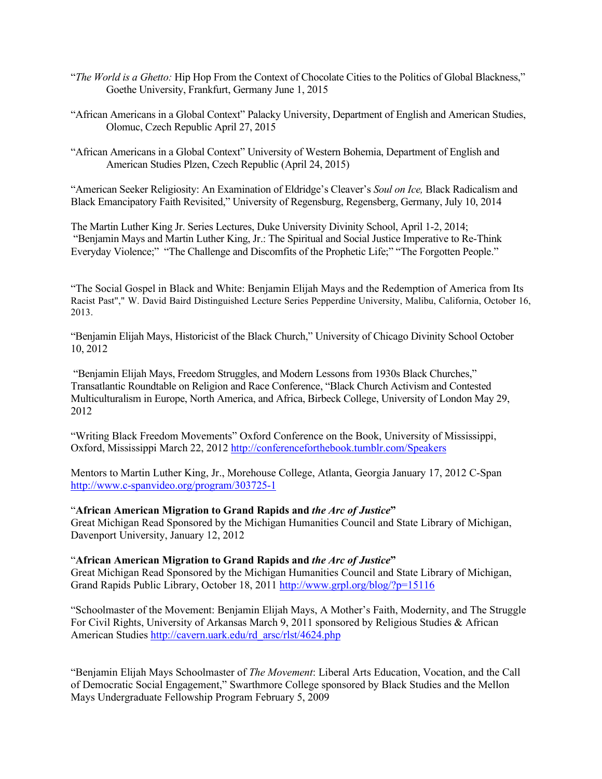- "*The World is a Ghetto:* Hip Hop From the Context of Chocolate Cities to the Politics of Global Blackness," Goethe University, Frankfurt, Germany June 1, 2015
- "African Americans in a Global Context" Palacky University, Department of English and American Studies, Olomuc, Czech Republic April 27, 2015
- "African Americans in a Global Context" University of Western Bohemia, Department of English and American Studies Plzen, Czech Republic (April 24, 2015)

"American Seeker Religiosity: An Examination of Eldridge's Cleaver's *Soul on Ice,* Black Radicalism and Black Emancipatory Faith Revisited," University of Regensburg, Regensberg, Germany, July 10, 2014

The Martin Luther King Jr. Series Lectures, Duke University Divinity School, April 1-2, 2014; "Benjamin Mays and Martin Luther King, Jr.: The Spiritual and Social Justice Imperative to Re-Think Everyday Violence;" "The Challenge and Discomfits of the Prophetic Life;" "The Forgotten People."

"The Social Gospel in Black and White: Benjamin Elijah Mays and the Redemption of America from Its Racist Past"," W. David Baird Distinguished Lecture Series Pepperdine University, Malibu, California, October 16, 2013.

"Benjamin Elijah Mays, Historicist of the Black Church," University of Chicago Divinity School October 10, 2012

"Benjamin Elijah Mays, Freedom Struggles, and Modern Lessons from 1930s Black Churches," Transatlantic Roundtable on Religion and Race Conference, "Black Church Activism and Contested Multiculturalism in Europe, North America, and Africa, Birbeck College, University of London May 29, 2012

"Writing Black Freedom Movements" Oxford Conference on the Book, University of Mississippi, Oxford, Mississippi March 22, 2012<http://conferenceforthebook.tumblr.com/Speakers>

Mentors to Martin Luther King, Jr., Morehouse College, Atlanta, Georgia January 17, 2012 C-Span <http://www.c-spanvideo.org/program/303725-1>

## "**African American Migration to Grand Rapids and** *the Arc of Justice***"**

Great Michigan Read Sponsored by the Michigan Humanities Council and State Library of Michigan, Davenport University, January 12, 2012

### "**African American Migration to Grand Rapids and** *the Arc of Justice***"**

Great Michigan Read Sponsored by the Michigan Humanities Council and State Library of Michigan, Grand Rapids Public Library, October 18, 2011<http://www.grpl.org/blog/?p=15116>

"Schoolmaster of the Movement: Benjamin Elijah Mays, A Mother's Faith, Modernity, and The Struggle For Civil Rights, University of Arkansas March 9, 2011 sponsored by Religious Studies & African American Studies [http://cavern.uark.edu/rd\\_arsc/rlst/4624.php](http://cavern.uark.edu/rd_arsc/rlst/4624.php)

"Benjamin Elijah Mays Schoolmaster of *The Movement*: Liberal Arts Education, Vocation, and the Call of Democratic Social Engagement," Swarthmore College sponsored by Black Studies and the Mellon Mays Undergraduate Fellowship Program February 5, 2009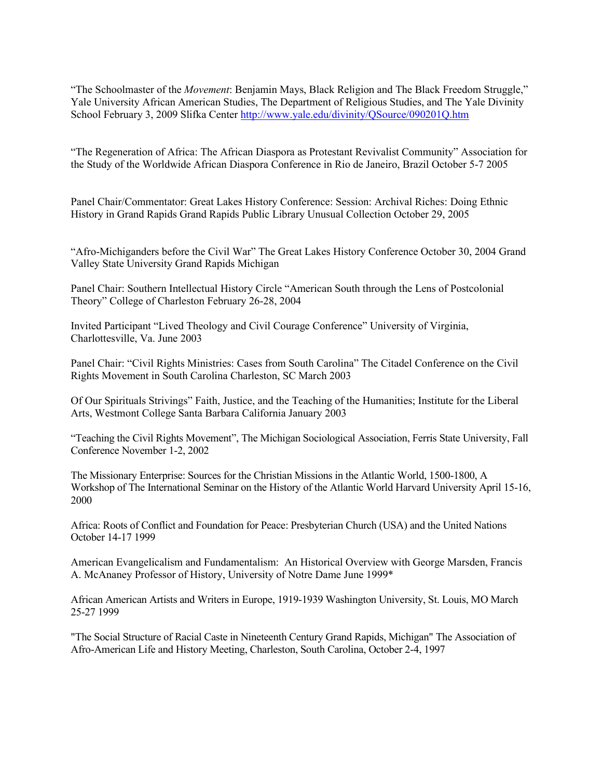"The Schoolmaster of the *Movement*: Benjamin Mays, Black Religion and The Black Freedom Struggle," Yale University African American Studies, The Department of Religious Studies, and The Yale Divinity School February 3, 2009 Slifka Center <http://www.yale.edu/divinity/QSource/090201Q.htm>

"The Regeneration of Africa: The African Diaspora as Protestant Revivalist Community" Association for the Study of the Worldwide African Diaspora Conference in Rio de Janeiro, Brazil October 5-7 2005

Panel Chair/Commentator: Great Lakes History Conference: Session: Archival Riches: Doing Ethnic History in Grand Rapids Grand Rapids Public Library Unusual Collection October 29, 2005

"Afro-Michiganders before the Civil War" The Great Lakes History Conference October 30, 2004 Grand Valley State University Grand Rapids Michigan

Panel Chair: Southern Intellectual History Circle "American South through the Lens of Postcolonial Theory" College of Charleston February 26-28, 2004

Invited Participant "Lived Theology and Civil Courage Conference" University of Virginia, Charlottesville, Va. June 2003

Panel Chair: "Civil Rights Ministries: Cases from South Carolina" The Citadel Conference on the Civil Rights Movement in South Carolina Charleston, SC March 2003

Of Our Spirituals Strivings" Faith, Justice, and the Teaching of the Humanities; Institute for the Liberal Arts, Westmont College Santa Barbara California January 2003

"Teaching the Civil Rights Movement", The Michigan Sociological Association, Ferris State University, Fall Conference November 1-2, 2002

The Missionary Enterprise: Sources for the Christian Missions in the Atlantic World, 1500-1800, A Workshop of The International Seminar on the History of the Atlantic World Harvard University April 15-16, 2000

Africa: Roots of Conflict and Foundation for Peace: Presbyterian Church (USA) and the United Nations October 14-17 1999

American Evangelicalism and Fundamentalism: An Historical Overview with George Marsden, Francis A. McAnaney Professor of History, University of Notre Dame June 1999\*

African American Artists and Writers in Europe, 1919-1939 Washington University, St. Louis, MO March 25-27 1999

"The Social Structure of Racial Caste in Nineteenth Century Grand Rapids, Michigan" The Association of Afro-American Life and History Meeting, Charleston, South Carolina, October 2-4, 1997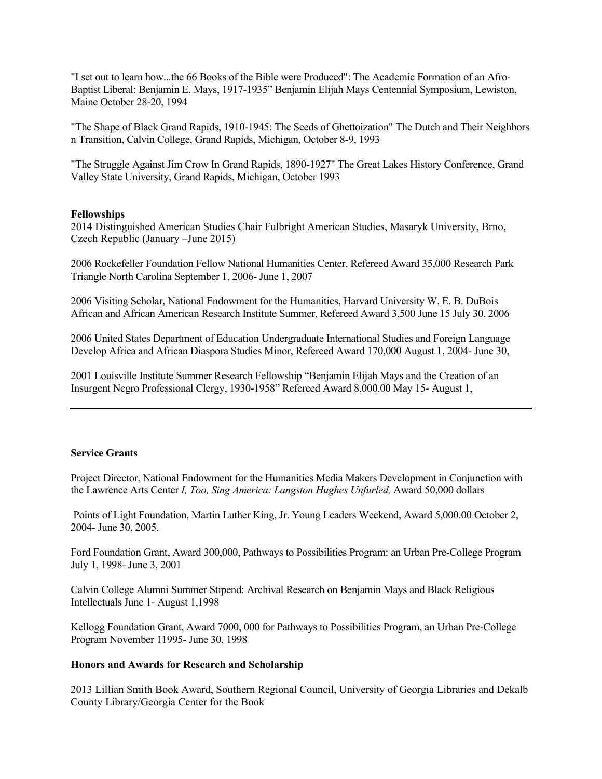"I set out to learn how...the 66 Books of the Bible were Produced": The Academic Formation of an Afro-Baptist Liberal: Benjamin E. Mays, 1917-1935" Benjamin Elijah Mays Centennial Symposium, Lewiston, Maine October 28-20, 1994

"The Shape of Black Grand Rapids, 1910-1945: The Seeds of Ghettoization" The Dutch and Their Neighbors n Transition, Calvin College, Grand Rapids, Michigan, October 8-9, 1993

"The Struggle Against Jim Crow In Grand Rapids, 1890-1927" The Great Lakes History Conference, Grand Valley State University, Grand Rapids, Michigan, October 1993

### **Fellowships**

2014 Distinguished American Studies Chair Fulbright American Studies, Masaryk University, Brno, Czech Republic (January –June 2015)

2006 Rockefeller Foundation Fellow National Humanities Center, Refereed Award 35,000 Research Park Triangle North Carolina September 1, 2006- June 1, 2007

2006 Visiting Scholar, National Endowment for the Humanities, Harvard University W. E. B. DuBois African and African American Research Institute Summer, Refereed Award 3,500 June 15 July 30, 2006

2006 United States Department of Education Undergraduate International Studies and Foreign Language Develop Africa and African Diaspora Studies Minor, Refereed Award 170,000 August 1, 2004- June 30,

2001 Louisville Institute Summer Research Fellowship "Benjamin Elijah Mays and the Creation of an Insurgent Negro Professional Clergy, 1930-1958" Refereed Award 8,000.00 May 15- August 1,

#### **Service Grants**

Project Director, National Endowment for the Humanities Media Makers Development in Conjunction with the Lawrence Arts Center *I, Too, Sing America: Langston Hughes Unfurled,* Award 50,000 dollars

Points of Light Foundation, Martin Luther King, Jr. Young Leaders Weekend, Award 5,000.00 October 2, 2004- June 30, 2005.

Ford Foundation Grant, Award 300,000, Pathways to Possibilities Program: an Urban Pre-College Program July 1, 1998- June 3, 2001

Calvin College Alumni Summer Stipend: Archival Research on Benjamin Mays and Black Religious Intellectuals June 1- August 1,1998

Kellogg Foundation Grant, Award 7000, 000 for Pathways to Possibilities Program, an Urban Pre-College Program November 11995- June 30, 1998

#### **Honors and Awards for Research and Scholarship**

2013 Lillian Smith Book Award, Southern Regional Council, University of Georgia Libraries and Dekalb County Library/Georgia Center for the Book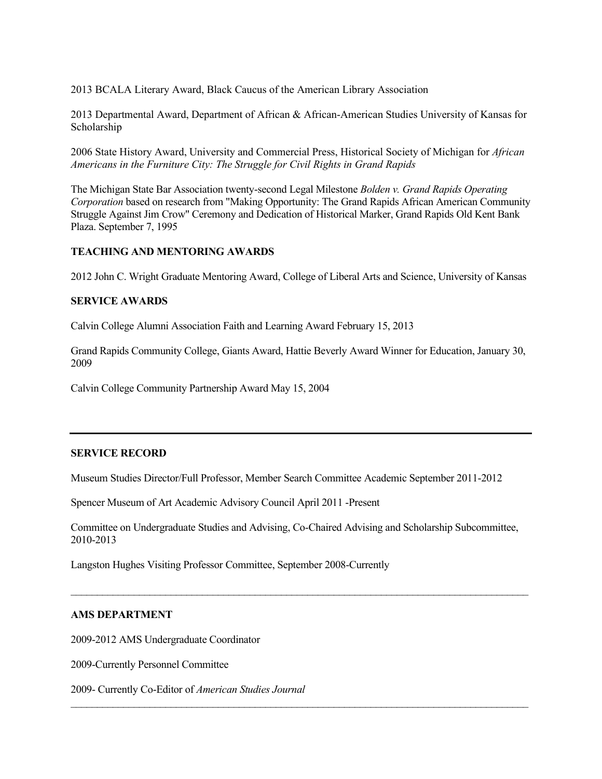2013 BCALA Literary Award, Black Caucus of the American Library Association

2013 Departmental Award, Department of African & African-American Studies University of Kansas for Scholarship

2006 State History Award, University and Commercial Press, Historical Society of Michigan for *African Americans in the Furniture City: The Struggle for Civil Rights in Grand Rapids*

The Michigan State Bar Association twenty-second Legal Milestone *Bolden v. Grand Rapids Operating Corporation* based on research from "Making Opportunity: The Grand Rapids African American Community Struggle Against Jim Crow" Ceremony and Dedication of Historical Marker, Grand Rapids Old Kent Bank Plaza. September 7, 1995

# **TEACHING AND MENTORING AWARDS**

2012 John C. Wright Graduate Mentoring Award, College of Liberal Arts and Science, University of Kansas

## **SERVICE AWARDS**

Calvin College Alumni Association Faith and Learning Award February 15, 2013

Grand Rapids Community College, Giants Award, Hattie Beverly Award Winner for Education, January 30, 2009

Calvin College Community Partnership Award May 15, 2004

### **SERVICE RECORD**

Museum Studies Director/Full Professor, Member Search Committee Academic September 2011-2012

Spencer Museum of Art Academic Advisory Council April 2011 -Present

Committee on Undergraduate Studies and Advising, Co-Chaired Advising and Scholarship Subcommittee, 2010-2013

 $\_$  , and the set of the set of the set of the set of the set of the set of the set of the set of the set of the set of the set of the set of the set of the set of the set of the set of the set of the set of the set of th

 $\_$  , and the set of the set of the set of the set of the set of the set of the set of the set of the set of the set of the set of the set of the set of the set of the set of the set of the set of the set of the set of th

Langston Hughes Visiting Professor Committee, September 2008-Currently

### **AMS DEPARTMENT**

2009-2012 AMS Undergraduate Coordinator

2009-Currently Personnel Committee

2009- Currently Co-Editor of *American Studies Journal*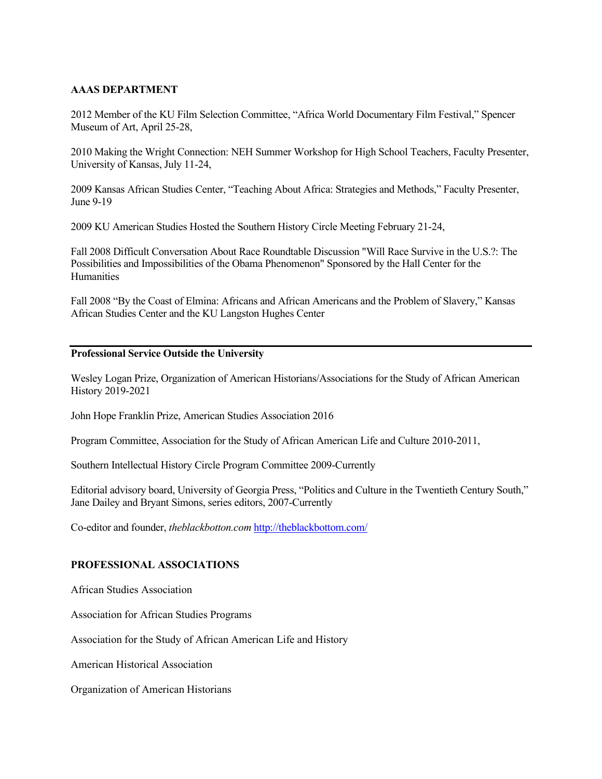# **AAAS DEPARTMENT**

2012 Member of the KU Film Selection Committee, "Africa World Documentary Film Festival," Spencer Museum of Art, April 25-28,

2010 Making the Wright Connection: NEH Summer Workshop for High School Teachers, Faculty Presenter, University of Kansas, July 11-24,

2009 Kansas African Studies Center, "Teaching About Africa: Strategies and Methods," Faculty Presenter, June 9-19

2009 KU American Studies Hosted the Southern History Circle Meeting February 21-24,

Fall 2008 Difficult Conversation About Race Roundtable Discussion "Will Race Survive in the U.S.?: The Possibilities and Impossibilities of the Obama Phenomenon" Sponsored by the Hall Center for the **Humanities** 

Fall 2008 "By the Coast of Elmina: Africans and African Americans and the Problem of Slavery," Kansas African Studies Center and the KU Langston Hughes Center

## **Professional Service Outside the University**

Wesley Logan Prize, Organization of American Historians/Associations for the Study of African American History 2019-2021

John Hope Franklin Prize, American Studies Association 2016

Program Committee, Association for the Study of African American Life and Culture 2010-2011,

Southern Intellectual History Circle Program Committee 2009-Currently

Editorial advisory board, University of Georgia Press, "Politics and Culture in the Twentieth Century South," Jane Dailey and Bryant Simons, series editors, 2007-Currently

Co-editor and founder, *theblackbotton.com* <http://theblackbottom.com/>

# **PROFESSIONAL ASSOCIATIONS**

African Studies Association

Association for African Studies Programs

Association for the Study of African American Life and History

American Historical Association

Organization of American Historians